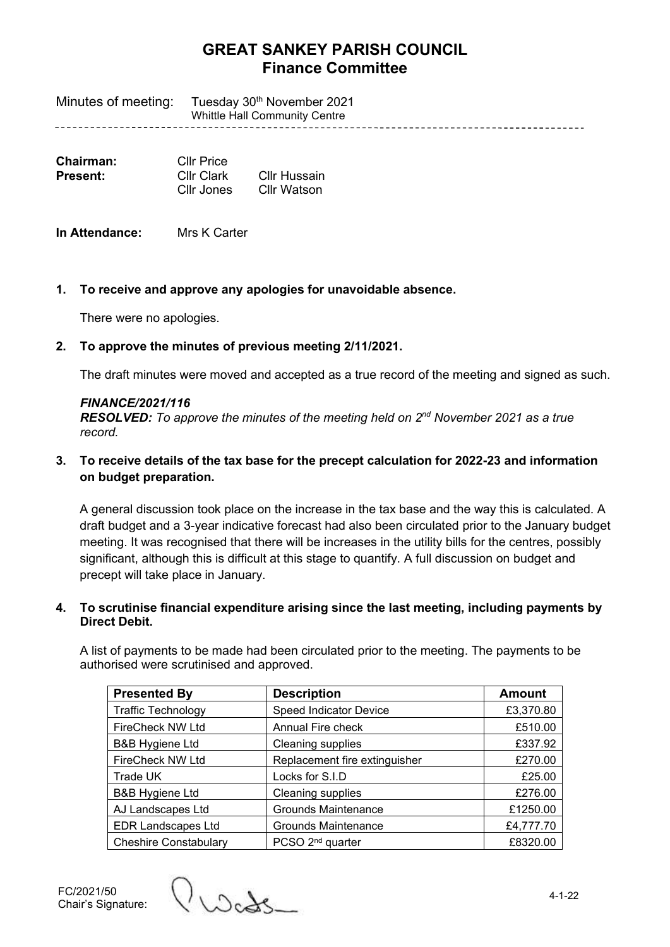# **GREAT SANKEY PARISH COUNCIL Finance Committee**

Minutes of meeting: Tuesday 30<sup>th</sup> November 2021 Whittle Hall Community Centre 

| Chairman: | Cllr Price |              |
|-----------|------------|--------------|
| Present:  | Cllr Clark | Cllr Hussain |
|           | Cllr Jones | Cllr Watson  |

**In Attendance:** Mrs K Carter

## **1. To receive and approve any apologies for unavoidable absence.**

There were no apologies.

## **2. To approve the minutes of previous meeting 2/11/2021.**

The draft minutes were moved and accepted as a true record of the meeting and signed as such.

### *FINANCE/2021/116*

*RESOLVED: To approve the minutes of the meeting held on 2<sup>nd</sup> November 2021 as a true record.*

## **3. To receive details of the tax base for the precept calculation for 2022-23 and information on budget preparation.**

A general discussion took place on the increase in the tax base and the way this is calculated. A draft budget and a 3-year indicative forecast had also been circulated prior to the January budget meeting. It was recognised that there will be increases in the utility bills for the centres, possibly significant, although this is difficult at this stage to quantify. A full discussion on budget and precept will take place in January.

### **4. To scrutinise financial expenditure arising since the last meeting, including payments by Direct Debit.**

A list of payments to be made had been circulated prior to the meeting. The payments to be authorised were scrutinised and approved.

| <b>Presented By</b>          | <b>Description</b>            | <b>Amount</b> |
|------------------------------|-------------------------------|---------------|
| <b>Traffic Technology</b>    | <b>Speed Indicator Device</b> | £3,370.80     |
| <b>FireCheck NW Ltd</b>      | Annual Fire check             | £510.00       |
| <b>B&amp;B Hygiene Ltd</b>   | Cleaning supplies             | £337.92       |
| <b>FireCheck NW Ltd</b>      | Replacement fire extinguisher | £270.00       |
| Trade UK                     | Locks for S.I.D               | £25.00        |
| <b>B&amp;B Hygiene Ltd</b>   | Cleaning supplies             | £276.00       |
| AJ Landscapes Ltd            | <b>Grounds Maintenance</b>    | £1250.00      |
| <b>EDR Landscapes Ltd</b>    | <b>Grounds Maintenance</b>    | £4,777.70     |
| <b>Cheshire Constabulary</b> | PCSO 2 <sup>nd</sup> quarter  | £8320.00      |

FC/2021/50 Chair's Signature:

Vuede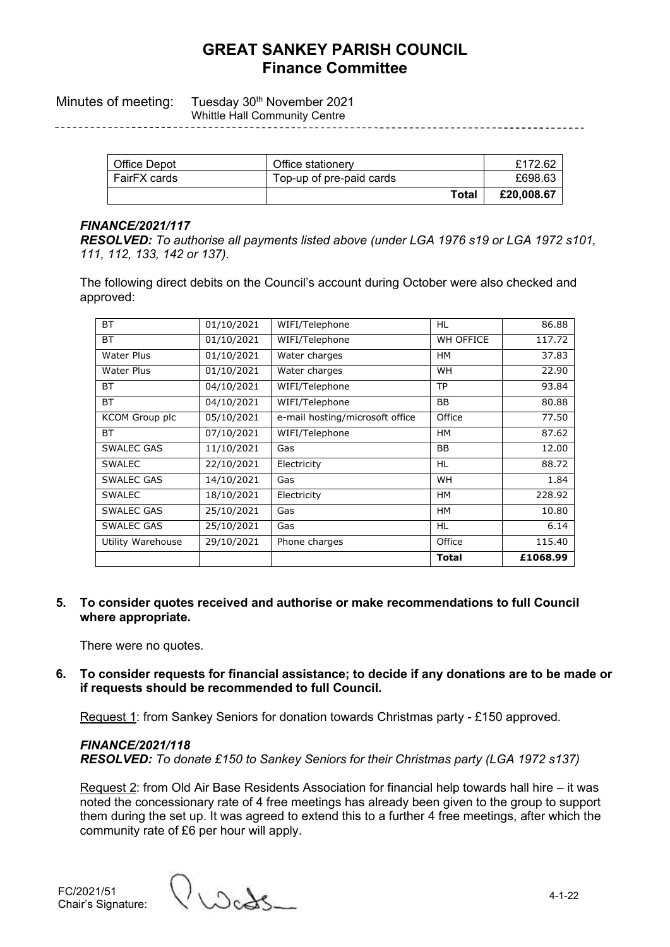# **GREAT SANKEY PARISH COUNCIL Finance Committee**

Minutes of meeting: Tuesday 30<sup>th</sup> November 2021 Whittle Hall Community Centre

| Office Depot | Office stationery        | £172.62    |
|--------------|--------------------------|------------|
| FairFX cards | Top-up of pre-paid cards | £698.63    |
|              | Total                    | £20,008.67 |

#### *FINANCE/2021/117*

*RESOLVED: To authorise all payments listed above (under LGA 1976 s19 or LGA 1972 s101, 111, 112, 133, 142 or 137).*

The following direct debits on the Council's account during October were also checked and approved:

| <b>BT</b>             | 01/10/2021 | WIFI/Telephone                  | HL               | 86.88    |
|-----------------------|------------|---------------------------------|------------------|----------|
| <b>BT</b>             | 01/10/2021 | WIFI/Telephone                  | <b>WH OFFICE</b> | 117.72   |
| <b>Water Plus</b>     | 01/10/2021 | Water charges                   | HM               | 37.83    |
| Water Plus            | 01/10/2021 | Water charges                   | <b>WH</b>        | 22.90    |
| ВT                    | 04/10/2021 | WIFI/Telephone                  | <b>TP</b>        | 93.84    |
| <b>BT</b>             | 04/10/2021 | WIFI/Telephone                  | BB               | 80.88    |
| <b>KCOM Group plc</b> | 05/10/2021 | e-mail hosting/microsoft office | Office           | 77.50    |
| ВT                    | 07/10/2021 | WIFI/Telephone                  | HM               | 87.62    |
| <b>SWALEC GAS</b>     | 11/10/2021 | Gas                             | BB               | 12.00    |
| <b>SWALEC</b>         | 22/10/2021 | Electricity                     | HL               | 88.72    |
| <b>SWALEC GAS</b>     | 14/10/2021 | Gas                             | <b>WH</b>        | 1.84     |
| <b>SWALEC</b>         | 18/10/2021 | Electricity                     | HM               | 228.92   |
| <b>SWALEC GAS</b>     | 25/10/2021 | Gas                             | <b>HM</b>        | 10.80    |
| <b>SWALEC GAS</b>     | 25/10/2021 | Gas                             | HL               | 6.14     |
| Utility Warehouse     | 29/10/2021 | Phone charges                   | Office           | 115.40   |
|                       |            |                                 | <b>Total</b>     | £1068.99 |

**5. To consider quotes received and authorise or make recommendations to full Council where appropriate.**

There were no quotes.

**6. To consider requests for financial assistance; to decide if any donations are to be made or if requests should be recommended to full Council.**

Request 1: from Sankey Seniors for donation towards Christmas party - £150 approved.

*FINANCE/2021/118 RESOLVED: To donate £150 to Sankey Seniors for their Christmas party (LGA 1972 s137)*

Request 2: from Old Air Base Residents Association for financial help towards hall hire – it was noted the concessionary rate of 4 free meetings has already been given to the group to support them during the set up. It was agreed to extend this to a further 4 free meetings, after which the community rate of £6 per hour will apply.

Wads